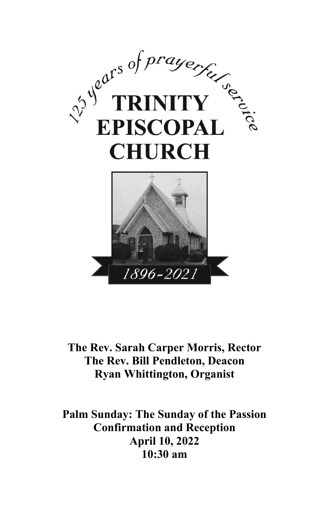

#### **The Rev. Sarah Carper Morris, Rector The Rev. Bill Pendleton, Deacon Ryan Whittington, Organist**

**Palm Sunday: The Sunday of the Passion Confirmation and Reception April 10, 2022 10:30 am**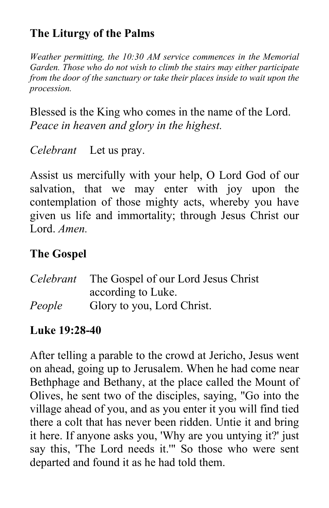# **The Liturgy of the Palms**

*Weather permitting, the 10:30 AM service commences in the Memorial Garden. Those who do not wish to climb the stairs may either participate from the door of the sanctuary or take their places inside to wait upon the procession.*

Blessed is the King who comes in the name of the Lord. *Peace in heaven and glory in the highest.*

*Celebrant* Let us pray.

Assist us mercifully with your help, O Lord God of our salvation, that we may enter with joy upon the contemplation of those mighty acts, whereby you have given us life and immortality; through Jesus Christ our Lord. *Amen.*

## **The Gospel**

|        | <i>Celebrant</i> The Gospel of our Lord Jesus Christ |
|--------|------------------------------------------------------|
|        | according to Luke.                                   |
| People | Glory to you, Lord Christ.                           |

#### **Luke 19:28-40**

After telling a parable to the crowd at Jericho, Jesus went on ahead, going up to Jerusalem. When he had come near Bethphage and Bethany, at the place called the Mount of Olives, he sent two of the disciples, saying, "Go into the village ahead of you, and as you enter it you will find tied there a colt that has never been ridden. Untie it and bring it here. If anyone asks you, 'Why are you untying it?' just say this, 'The Lord needs it.'" So those who were sent departed and found it as he had told them.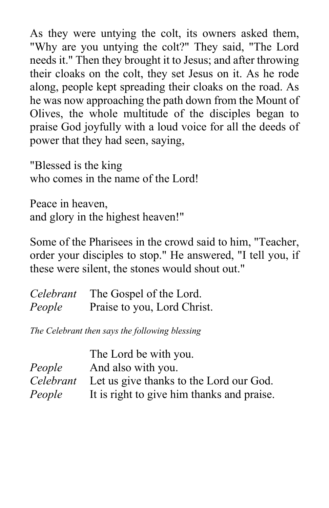As they were untying the colt, its owners asked them, "Why are you untying the colt?" They said, "The Lord needs it." Then they brought it to Jesus; and after throwing their cloaks on the colt, they set Jesus on it. As he rode along, people kept spreading their cloaks on the road. As he was now approaching the path down from the Mount of Olives, the whole multitude of the disciples began to praise God joyfully with a loud voice for all the deeds of power that they had seen, saying,

"Blessed is the king who comes in the name of the Lord!

Peace in heaven, and glory in the highest heaven!"

Some of the Pharisees in the crowd said to him, "Teacher, order your disciples to stop." He answered, "I tell you, if these were silent, the stones would shout out."

|        | Celebrant The Gospel of the Lord. |  |
|--------|-----------------------------------|--|
| People | Praise to you, Lord Christ.       |  |

*The Celebrant then says the following blessing*

| The Lord be with you.                                    |
|----------------------------------------------------------|
| <i>People</i> And also with you.                         |
| Celebrant Let us give thanks to the Lord our God.        |
| <i>People</i> It is right to give him thanks and praise. |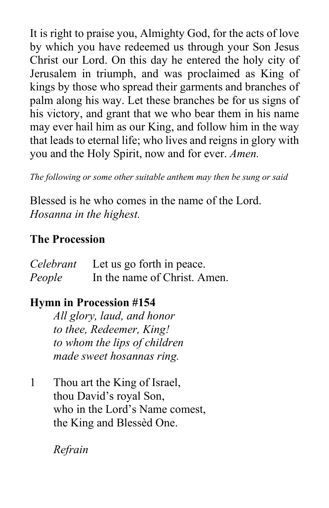It is right to praise you, Almighty God, for the acts of love by which you have redeemed us through your Son Jesus Christ our Lord. On this day he entered the holy city of Jerusalem in triumph, and was proclaimed as King of kings by those who spread their garments and branches of palm along his way. Let these branches be for us signs of his victory, and grant that we who bear them in his name may ever hail him as our King, and follow him in the way that leads to eternal life; who lives and reigns in glory with you and the Holy Spirit, now and for ever. *Amen.*

*The following or some other suitable anthem may then be sung or said*

Blessed is he who comes in the name of the Lord. *Hosanna in the highest.*

## **The Procession**

|        | <i>Celebrant</i> Let us go forth in peace. |
|--------|--------------------------------------------|
| People | In the name of Christ. Amen.               |

# **Hymn in Procession #154**

*All glory, laud, and honor to thee, Redeemer, King! to whom the lips of children made sweet hosannas ring.*

1 Thou art the King of Israel, thou David's royal Son, who in the Lord's Name comest, the King and Blessèd One.

*Refrain*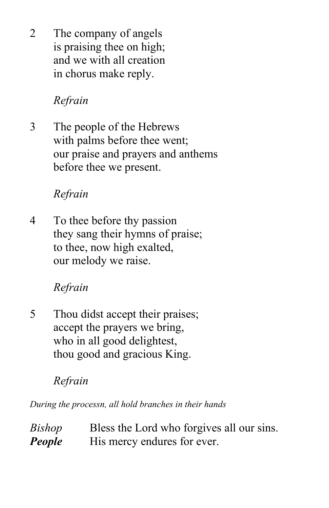2 The company of angels is praising thee on high; and we with all creation in chorus make reply.

# *Refrain*

3 The people of the Hebrews with palms before thee went; our praise and prayers and anthems before thee we present.

# *Refrain*

4 To thee before thy passion they sang their hymns of praise; to thee, now high exalted, our melody we raise.

# *Refrain*

5 Thou didst accept their praises; accept the prayers we bring, who in all good delightest, thou good and gracious King.

# *Refrain*

*During the processn, all hold branches in their hands*

| <b>Bishop</b> | Bless the Lord who forgives all our sins. |
|---------------|-------------------------------------------|
| People        | His mercy endures for ever.               |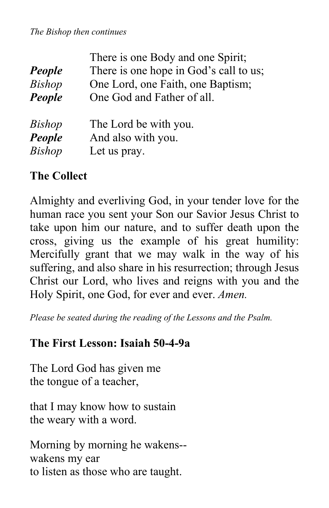#### *The Bishop then continues*

|               | There is one Body and one Spirit;      |  |  |
|---------------|----------------------------------------|--|--|
| People        | There is one hope in God's call to us; |  |  |
| <b>Bishop</b> | One Lord, one Faith, one Baptism;      |  |  |
| People        | One God and Father of all.             |  |  |
| <b>Bishop</b> | The Lord be with you.                  |  |  |
| People        | And also with you.                     |  |  |
| <b>Bishop</b> | Let us pray.                           |  |  |

#### **The Collect**

Almighty and everliving God, in your tender love for the human race you sent your Son our Savior Jesus Christ to take upon him our nature, and to suffer death upon the cross, giving us the example of his great humility: Mercifully grant that we may walk in the way of his suffering, and also share in his resurrection; through Jesus Christ our Lord, who lives and reigns with you and the Holy Spirit, one God, for ever and ever. *Amen.*

*Please be seated during the reading of the Lessons and the Psalm.*

#### **The First Lesson: Isaiah 50-4-9a**

The Lord God has given me the tongue of a teacher,

that I may know how to sustain the weary with a word.

Morning by morning he wakens- wakens my ear to listen as those who are taught.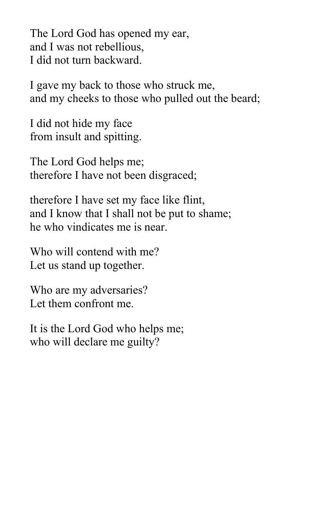The Lord God has opened my ear, and I was not rebellious, I did not turn backward.

I gave my back to those who struck me, and my cheeks to those who pulled out the beard;

I did not hide my face from insult and spitting.

The Lord God helps me; therefore I have not been disgraced;

therefore I have set my face like flint, and I know that I shall not be put to shame; he who vindicates me is near.

Who will contend with me? Let us stand up together.

Who are my adversaries? Let them confront me.

It is the Lord God who helps me; who will declare me guilty?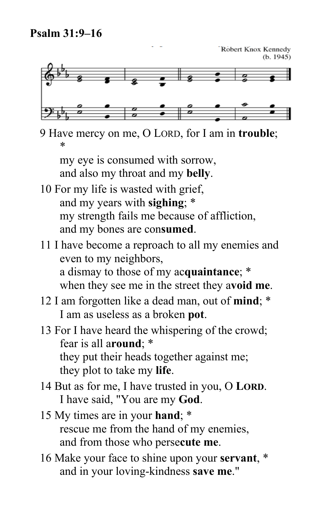



9 Have mercy on me, O LORD, for I am in **trouble**; \*

my eye is consumed with sorrow, and also my throat and my **belly**.

- 10 For my life is wasted with grief, and my years with **sighing**; \* my strength fails me because of affliction, and my bones are con**sumed**.
- 11 I have become a reproach to all my enemies and even to my neighbors, a dismay to those of my ac**quaintance**; \* when they see me in the street they a**void me**.
- 12 I am forgotten like a dead man, out of **mind**; \* I am as useless as a broken **pot**.
- 13 For I have heard the whispering of the crowd; fear is all a**round**; \* they put their heads together against me; they plot to take my **life**.
- 14 But as for me, I have trusted in you, O **LORD**. I have said, "You are my **God**.
- 15 My times are in your **hand**; \* rescue me from the hand of my enemies, and from those who perse**cute me**.
- 16 Make your face to shine upon your **servant**, \* and in your loving-kindness **save me**."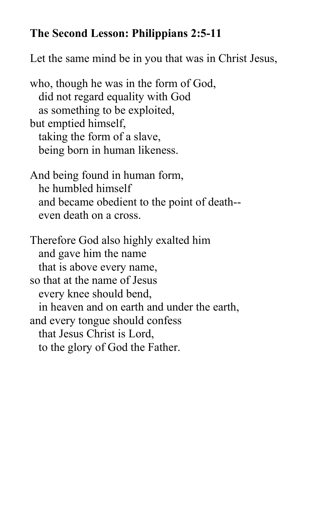## **The Second Lesson: Philippians 2:5-11**

Let the same mind be in you that was in Christ Jesus,

who, though he was in the form of God, did not regard equality with God as something to be exploited, but emptied himself, taking the form of a slave, being born in human likeness.

And being found in human form, he humbled himself and became obedient to the point of death- even death on a cross.

Therefore God also highly exalted him and gave him the name that is above every name, so that at the name of Jesus every knee should bend, in heaven and on earth and under the earth, and every tongue should confess that Jesus Christ is Lord, to the glory of God the Father.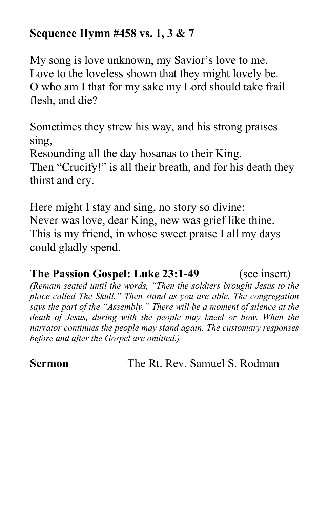## **Sequence Hymn #458 vs. 1, 3 & 7**

My song is love unknown, my Savior's love to me, Love to the loveless shown that they might lovely be. O who am I that for my sake my Lord should take frail flesh, and die?

Sometimes they strew his way, and his strong praises sing,

Resounding all the day hosanas to their King. Then "Crucify!" is all their breath, and for his death they thirst and cry.

Here might I stay and sing, no story so divine: Never was love, dear King, new was grief like thine. This is my friend, in whose sweet praise I all my days could gladly spend.

## **The Passion Gospel: Luke 23:1-49** (see insert)

*(Remain seated until the words, "Then the soldiers brought Jesus to the place called The Skull." Then stand as you are able. The congregation says the part of the "Assembly." There will be a moment of silence at the death of Jesus, during with the people may kneel or bow. When the narrator continues the people may stand again. The customary responses before and after the Gospel are omitted.)*

**Sermon** The Rt. Rev. Samuel S. Rodman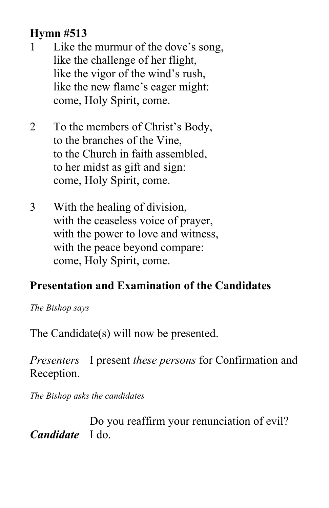# **Hymn #513**

- 1 Like the murmur of the dove's song, like the challenge of her flight, like the vigor of the wind's rush, like the new flame's eager might: come, Holy Spirit, come.
- 2 To the members of Christ's Body, to the branches of the Vine, to the Church in faith assembled, to her midst as gift and sign: come, Holy Spirit, come.
- 3 With the healing of division, with the ceaseless voice of prayer, with the power to love and witness, with the peace beyond compare: come, Holy Spirit, come.

# **Presentation and Examination of the Candidates**

*The Bishop says*

The Candidate(s) will now be presented.

*Presenters* I present *these persons* for Confirmation and Reception.

*The Bishop asks the candidates*

Do you reaffirm your renunciation of evil? *Candidate* I do.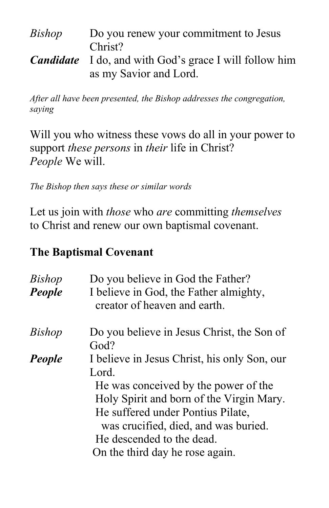| Bishop | Do you renew your commitment to Jesus                                                   |
|--------|-----------------------------------------------------------------------------------------|
|        | Christ?                                                                                 |
|        | <b>Candidate</b> I do, and with God's grace I will follow him<br>as my Savior and Lord. |

*After all have been presented, the Bishop addresses the congregation, saying*

Will you who witness these vows do all in your power to support *these persons* in *their* life in Christ? *People* We will.

*The Bishop then says these or similar words*

Let us join with *those* who *are* committing *themselves* to Christ and renew our own baptismal covenant.

# **The Baptismal Covenant**

| <b>Bishop</b> | Do you believe in God the Father?                  |  |  |
|---------------|----------------------------------------------------|--|--|
| <b>People</b> | I believe in God, the Father almighty,             |  |  |
|               | creator of heaven and earth.                       |  |  |
| <i>Bishop</i> | Do you believe in Jesus Christ, the Son of<br>God? |  |  |
| People        | I believe in Jesus Christ, his only Son, our       |  |  |
|               | Lord.                                              |  |  |
|               | He was conceived by the power of the               |  |  |
|               | Holy Spirit and born of the Virgin Mary.           |  |  |
|               | He suffered under Pontius Pilate,                  |  |  |
|               | was crucified, died, and was buried.               |  |  |
|               | He descended to the dead.                          |  |  |
|               | On the third day he rose again.                    |  |  |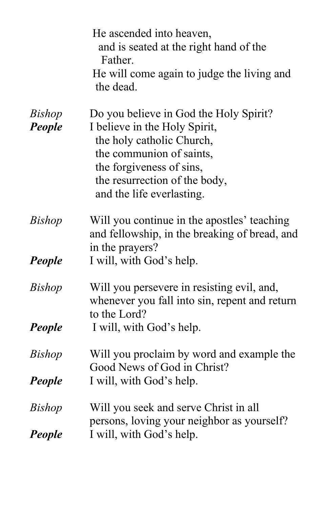|               | He ascended into heaven,<br>and is seated at the right hand of the<br>Father.<br>He will come again to judge the living and<br>the dead. |
|---------------|------------------------------------------------------------------------------------------------------------------------------------------|
| <b>Bishop</b> | Do you believe in God the Holy Spirit?                                                                                                   |
| People        | I believe in the Holy Spirit,                                                                                                            |
|               | the holy catholic Church,                                                                                                                |
|               | the communion of saints,                                                                                                                 |
|               | the forgiveness of sins,                                                                                                                 |
|               | the resurrection of the body,<br>and the life everlasting.                                                                               |
|               |                                                                                                                                          |
| <b>Bishop</b> | Will you continue in the apostles' teaching                                                                                              |
|               | and fellowship, in the breaking of bread, and                                                                                            |
|               | in the prayers?                                                                                                                          |
| People        | I will, with God's help.                                                                                                                 |
| <i>Bishop</i> | Will you persevere in resisting evil, and,                                                                                               |
|               | whenever you fall into sin, repent and return                                                                                            |
|               | to the Lord?                                                                                                                             |
| People        | I will, with God's help.                                                                                                                 |
| <i>Bishop</i> | Will you proclaim by word and example the                                                                                                |
|               | Good News of God in Christ?                                                                                                              |
| People        | I will, with God's help.                                                                                                                 |
| <b>Bishop</b> | Will you seek and serve Christ in all                                                                                                    |
|               | persons, loving your neighbor as yourself?                                                                                               |
| People        | I will, with God's help.                                                                                                                 |
|               |                                                                                                                                          |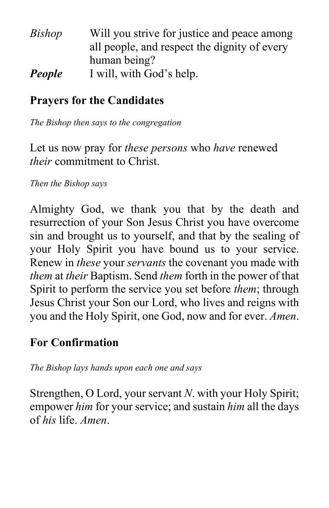| Will you strive for justice and peace among  |
|----------------------------------------------|
| all people, and respect the dignity of every |
| human being?                                 |
| I will, with God's help.                     |
|                                              |

#### **Prayers for the Candidates**

*The Bishop then says to the congregation*

Let us now pray for *these persons* who *have* renewed *their* commitment to Christ.

*Then the Bishop says*

Almighty God, we thank you that by the death and resurrection of your Son Jesus Christ you have overcome sin and brought us to yourself, and that by the sealing of your Holy Spirit you have bound us to your service. Renew in *these* your *servants* the covenant you made with *them* at *their* Baptism. Send *them* forth in the power of that Spirit to perform the service you set before *them*; through Jesus Christ your Son our Lord, who lives and reigns with you and the Holy Spirit, one God, now and for ever. *Amen*.

#### **For Confirmation**

*The Bishop lays hands upon each one and says*

Strengthen, O Lord, your servant *N*. with your Holy Spirit; empower *him* for your service; and sustain *him* all the days of *his* life. *Amen*.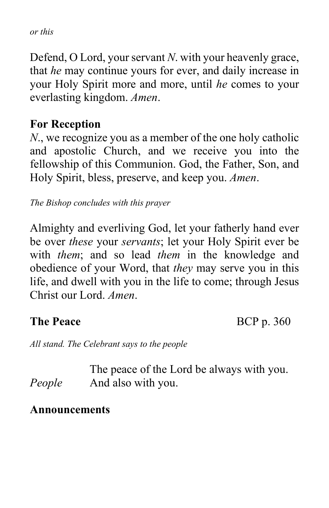*or this*

Defend, O Lord, your servant *N*. with your heavenly grace, that *he* may continue yours for ever, and daily increase in your Holy Spirit more and more, until *he* comes to your everlasting kingdom. *Amen*.

#### **For Reception**

*N*., we recognize you as a member of the one holy catholic and apostolic Church, and we receive you into the fellowship of this Communion. God, the Father, Son, and Holy Spirit, bless, preserve, and keep you. *Amen*.

*The Bishop concludes with this prayer*

Almighty and everliving God, let your fatherly hand ever be over *these* your *servants*; let your Holy Spirit ever be with *them*; and so lead *them* in the knowledge and obedience of your Word, that *they* may serve you in this life, and dwell with you in the life to come; through Jesus Christ our Lord. *Amen*.

**The Peace** BCP p. 360

*All stand. The Celebrant says to the people*

The peace of the Lord be always with you. *People* And also with you.

#### **Announcements**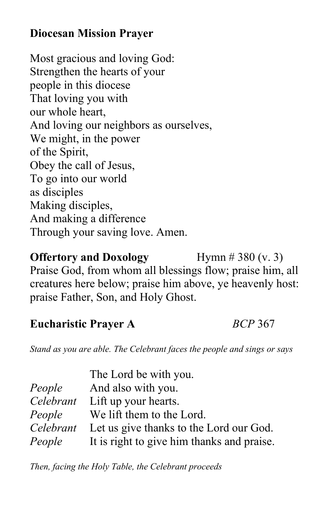# **Diocesan Mission Prayer**

Most gracious and loving God: Strengthen the hearts of your people in this diocese That loving you with our whole heart, And loving our neighbors as ourselves, We might, in the power of the Spirit, Obey the call of Jesus, To go into our world as disciples Making disciples, And making a difference Through your saving love. Amen.

**Offertory and Doxology** Hymn # 380 (v. 3) Praise God, from whom all blessings flow; praise him, all creatures here below; praise him above, ye heavenly host: praise Father, Son, and Holy Ghost.

#### **Eucharistic Prayer A** *BCP* 367

*Stand as you are able. The Celebrant faces the people and sings or says*

|           | The Lord be with you.                      |
|-----------|--------------------------------------------|
| People    | And also with you.                         |
|           | Celebrant Lift up your hearts.             |
| People    | We lift them to the Lord.                  |
| Celebrant | Let us give thanks to the Lord our God.    |
| People    | It is right to give him thanks and praise. |

*Then, facing the Holy Table, the Celebrant proceeds*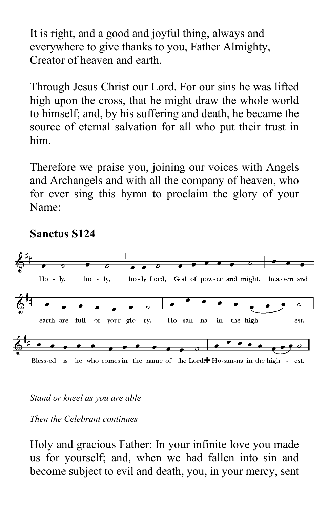It is right, and a good and joyful thing, always and everywhere to give thanks to you, Father Almighty, Creator of heaven and earth.

Through Jesus Christ our Lord. For our sins he was lifted high upon the cross, that he might draw the whole world to himself; and, by his suffering and death, he became the source of eternal salvation for all who put their trust in him.

Therefore we praise you, joining our voices with Angels and Archangels and with all the company of heaven, who for ever sing this hymn to proclaim the glory of your Name:



#### **Sanctus S124**

#### *Stand or kneel as you are able*

*Then the Celebrant continues*

Holy and gracious Father: In your infinite love you made us for yourself; and, when we had fallen into sin and become subject to evil and death, you, in your mercy, sent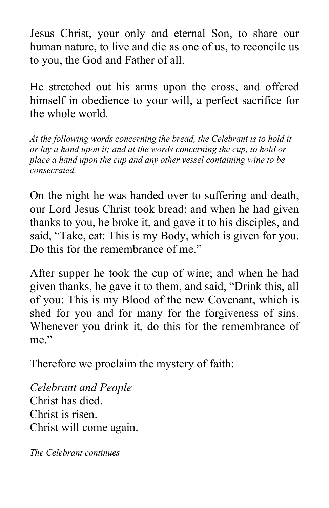Jesus Christ, your only and eternal Son, to share our human nature, to live and die as one of us, to reconcile us to you, the God and Father of all.

He stretched out his arms upon the cross, and offered himself in obedience to your will, a perfect sacrifice for the whole world.

*At the following words concerning the bread, the Celebrant is to hold it or lay a hand upon it; and at the words concerning the cup, to hold or place a hand upon the cup and any other vessel containing wine to be consecrated.*

On the night he was handed over to suffering and death, our Lord Jesus Christ took bread; and when he had given thanks to you, he broke it, and gave it to his disciples, and said, "Take, eat: This is my Body, which is given for you. Do this for the remembrance of me."

After supper he took the cup of wine; and when he had given thanks, he gave it to them, and said, "Drink this, all of you: This is my Blood of the new Covenant, which is shed for you and for many for the forgiveness of sins. Whenever you drink it, do this for the remembrance of me."

Therefore we proclaim the mystery of faith:

*Celebrant and People* Christ has died. Christ is risen. Christ will come again.

*The Celebrant continues*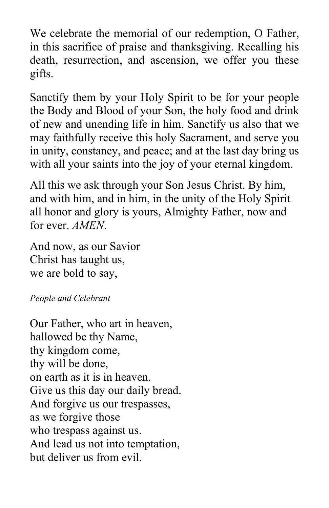We celebrate the memorial of our redemption, O Father, in this sacrifice of praise and thanksgiving. Recalling his death, resurrection, and ascension, we offer you these gifts.

Sanctify them by your Holy Spirit to be for your people the Body and Blood of your Son, the holy food and drink of new and unending life in him. Sanctify us also that we may faithfully receive this holy Sacrament, and serve you in unity, constancy, and peace; and at the last day bring us with all your saints into the joy of your eternal kingdom.

All this we ask through your Son Jesus Christ. By him, and with him, and in him, in the unity of the Holy Spirit all honor and glory is yours, Almighty Father, now and for ever. *AMEN*.

And now, as our Savior Christ has taught us, we are bold to say,

*People and Celebrant*

Our Father, who art in heaven, hallowed be thy Name, thy kingdom come, thy will be done, on earth as it is in heaven. Give us this day our daily bread. And forgive us our trespasses, as we forgive those who trespass against us. And lead us not into temptation, but deliver us from evil.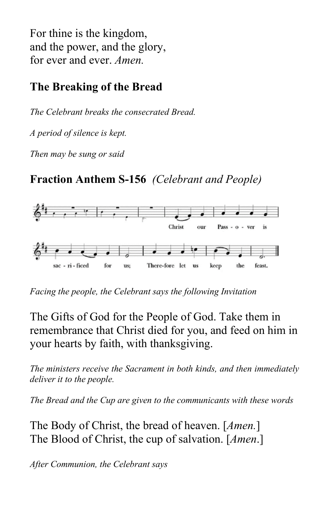For thine is the kingdom, and the power, and the glory, for ever and ever. *Amen.*

# **The Breaking of the Bread**

*The Celebrant breaks the consecrated Bread.*

*A period of silence is kept.*

*Then may be sung or said*

# **Fraction Anthem S-156** *(Celebrant and People)*



*Facing the people, the Celebrant says the following Invitation*

The Gifts of God for the People of God. Take them in remembrance that Christ died for you, and feed on him in your hearts by faith, with thanksgiving.

*The ministers receive the Sacrament in both kinds, and then immediately deliver it to the people.*

*The Bread and the Cup are given to the communicants with these words*

The Body of Christ, the bread of heaven. [*Amen.*] The Blood of Christ, the cup of salvation. [*Amen*.]

*After Communion, the Celebrant says*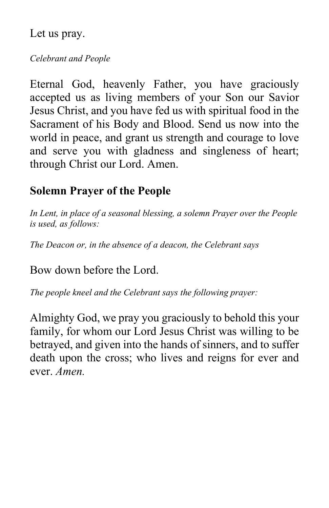Let us pray.

#### *Celebrant and People*

Eternal God, heavenly Father, you have graciously accepted us as living members of your Son our Savior Jesus Christ, and you have fed us with spiritual food in the Sacrament of his Body and Blood. Send us now into the world in peace, and grant us strength and courage to love and serve you with gladness and singleness of heart; through Christ our Lord. Amen.

## **Solemn Prayer of the People**

*In Lent, in place of a seasonal blessing, a solemn Prayer over the People is used, as follows:*

*The Deacon or, in the absence of a deacon, the Celebrant says*

Bow down before the Lord.

*The people kneel and the Celebrant says the following prayer:*

Almighty God, we pray you graciously to behold this your family, for whom our Lord Jesus Christ was willing to be betrayed, and given into the hands of sinners, and to suffer death upon the cross; who lives and reigns for ever and ever. *Amen.*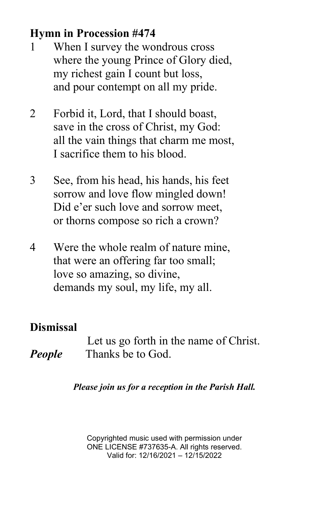# **Hymn in Procession #474**

- 1 When I survey the wondrous cross where the young Prince of Glory died, my richest gain I count but loss, and pour contempt on all my pride.
- 2 Forbid it, Lord, that I should boast, save in the cross of Christ, my God: all the vain things that charm me most, I sacrifice them to his blood.
- 3 See, from his head, his hands, his feet sorrow and love flow mingled down! Did e'er such love and sorrow meet, or thorns compose so rich a crown?
- 4 Were the whole realm of nature mine, that were an offering far too small; love so amazing, so divine, demands my soul, my life, my all.

## **Dismissal**

Let us go forth in the name of Christ. *People* Thanks be to God.

*Please join us for a reception in the Parish Hall.*

Copyrighted music used with permission under ONE LICENSE #737635-A. All rights reserved. Valid for: 12/16/2021 – 12/15/2022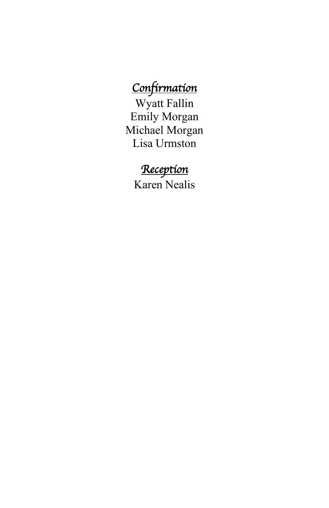# *Confirmation*

Wyatt Fallin Emily Morgan Michael Morgan Lisa Urmston

# *Reception*

Karen Nealis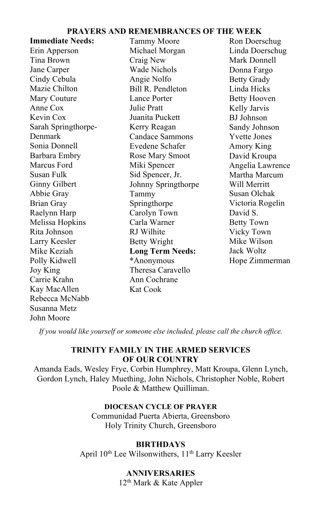#### **PRAYERS AND REMEMBRANCES OF THE WEEK**

| <b>Immediate Needs:</b> | <b>Tammy Moore</b>      | Ron Doerschug       |
|-------------------------|-------------------------|---------------------|
| Erin Apperson           | Michael Morgan          | Linda Doerschug     |
| Tina Brown              | Craig New               | Mark Donnell        |
| Jane Carper             | Wade Nichols            | Donna Fargo         |
| Cindy Cebula            | Angie Nolfo             | <b>Betty Grady</b>  |
| Mazie Chilton           | Bill R. Pendleton       | Linda Hicks         |
| Mary Couture            | Lance Porter            | <b>Betty Hooven</b> |
| Anne Cox                | Julie Pratt             | Kelly Jarvis        |
| Kevin Cox               | Juanita Puckett         | BJ Johnson          |
| Sarah Springthorpe-     | Kerry Reagan            | Sandy Johnson       |
| Denmark                 | Candace Sammons         | <b>Yvette Jones</b> |
| Sonia Donnell           | Evedene Schafer         | Amory King          |
| Barbara Embry           | Rose Mary Smoot         | David Kroupa        |
| Marcus Ford             | Miki Spencer            | Angelia Lawrence    |
| Susan Fulk              | Sid Spencer, Jr.        | Martha Marcum       |
| Ginny Gilbert           | Johnny Springthorpe     | Will Merritt        |
| Abbie Gray              | Tammy                   | Susan Olchak        |
| Brian Gray              | Springthorpe            | Victoria Rogelin    |
| Raelynn Harp            | Carolyn Town            | David S.            |
| Melissa Hopkins         | Carla Warner            | Betty Town          |
| Rita Johnson            | RJ Wilhite              | Vicky Town          |
| Larry Keesler           | Betty Wright            | Mike Wilson         |
| Mike Keziah             | <b>Long Term Needs:</b> | Jack Woltz          |
| Polly Kidwell           | *Anonymous              | Hope Zimmerman      |
| Joy King                | Theresa Caravello       |                     |
| Carrie Krahn            | Ann Cochrane            |                     |
| Kay MacAllen            | Kat Cook                |                     |
| Rebecca McNabb          |                         |                     |
| Susanna Metz            |                         |                     |
| John Moore              |                         |                     |

*If you would like yourself or someone else included, please call the church office.*

#### **TRINITY FAMILY IN THE ARMED SERVICES OF OUR COUNTRY**

Amanda Eads, Wesley Frye, Corbin Humphrey, Matt Kroupa, Glenn Lynch, Gordon Lynch, Haley Muething, John Nichols, Christopher Noble, Robert Poole & Matthew Quilliman.

#### **DIOCESAN CYCLE OF PRAYER**

Communidad Puerta Abierta, Greensboro Holy Trinity Church, Greensboro

#### **BIRTHDAYS**

April 10<sup>th</sup> Lee Wilsonwithers, 11<sup>th</sup> Larry Keesler

#### Melissa Roth Culver **ANNIVERSARIES**

12<sup>th</sup> Mark & Kate Appler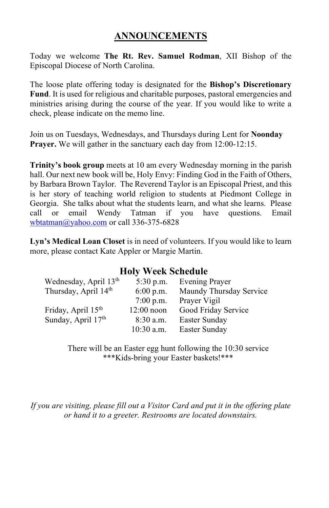#### **ANNOUNCEMENTS**

Today we welcome **The Rt. Rev. Samuel Rodman**, XII Bishop of the Episcopal Diocese of North Carolina.

The loose plate offering today is designated for the **Bishop's Discretionary Fund**. It is used for religious and charitable purposes, pastoral emergencies and ministries arising during the course of the year. If you would like to write a check, please indicate on the memo line.

Join us on Tuesdays, Wednesdays, and Thursdays during Lent for **Noonday Prayer.** We will gather in the sanctuary each day from 12:00-12:15.

**Trinity's book group** meets at 10 am every Wednesday morning in the parish hall. Our next new book will be, Holy Envy: Finding God in the Faith of Others, by Barbara Brown Taylor. The Reverend Taylor is an Episcopal Priest, and this is her story of teaching world religion to students at Piedmont College in Georgia. She talks about what the students learn, and what she learns. Please call or email Wendy Tatman if you have questions. Email [wbtatman@yahoo.com](mailto:wbtatman@yahoo.com) or call 336-375-6828

**Lyn's Medical Loan Closet** is in need of volunteers. If you would like to learn more, please contact Kate Appler or Margie Martin.

#### **Holy Week Schedule**

| Wednesday, April 13 <sup>th</sup> | $5:30$ p.m.  | <b>Evening Prayer</b>   |  |
|-----------------------------------|--------------|-------------------------|--|
| Thursday, April 14 <sup>th</sup>  | $6:00$ p.m.  | Maundy Thursday Service |  |
|                                   | $7:00$ p.m.  | Prayer Vigil            |  |
| Friday, April 15 <sup>th</sup>    | $12:00$ noon | Good Friday Service     |  |
| Sunday, April 17th                | $8:30$ a.m.  | Easter Sunday           |  |
|                                   | $10:30$ a.m. | Easter Sunday           |  |
|                                   |              |                         |  |

There will be an Easter egg hunt following the 10:30 service \*\*\*Kids-bring your Easter baskets!\*\*\*

*If you are visiting, please fill out a Visitor Card and put it in the offering plate or hand it to a greeter. Restrooms are located downstairs.*